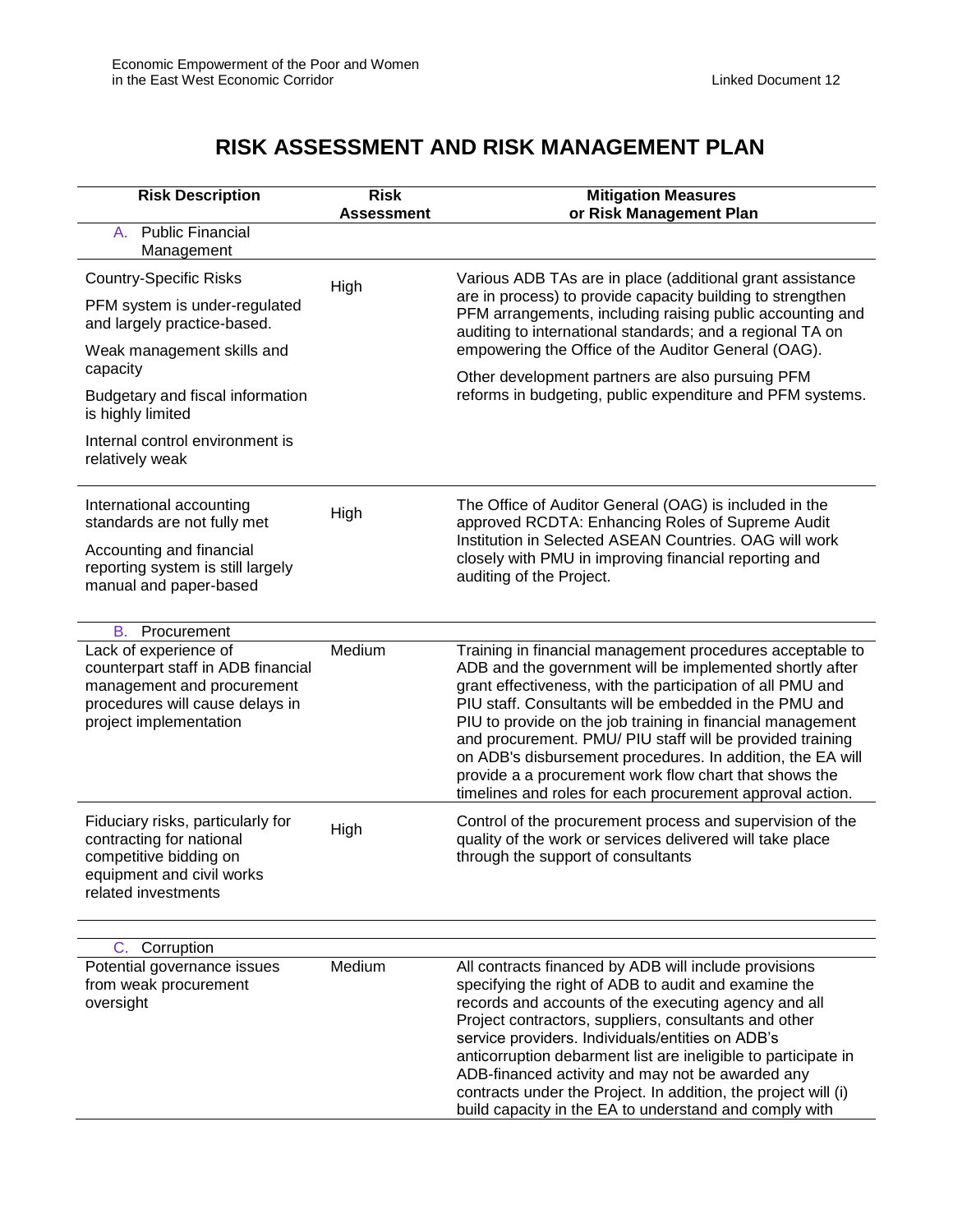## **RISK ASSESSMENT AND RISK MANAGEMENT PLAN**

| <b>Risk Description</b>                                                                                                                                                                                                                                                                                                                                                                                      | <b>Risk</b><br><b>Assessment</b> | <b>Mitigation Measures</b><br>or Risk Management Plan                                                                                                                                                                                                                                                                                                                                                                                                                                                                                                                                                                                                                                  |
|--------------------------------------------------------------------------------------------------------------------------------------------------------------------------------------------------------------------------------------------------------------------------------------------------------------------------------------------------------------------------------------------------------------|----------------------------------|----------------------------------------------------------------------------------------------------------------------------------------------------------------------------------------------------------------------------------------------------------------------------------------------------------------------------------------------------------------------------------------------------------------------------------------------------------------------------------------------------------------------------------------------------------------------------------------------------------------------------------------------------------------------------------------|
| <b>Public Financial</b><br>А.<br>Management                                                                                                                                                                                                                                                                                                                                                                  |                                  |                                                                                                                                                                                                                                                                                                                                                                                                                                                                                                                                                                                                                                                                                        |
| <b>Country-Specific Risks</b><br>PFM system is under-regulated<br>and largely practice-based.<br>Weak management skills and<br>capacity<br>Budgetary and fiscal information<br>is highly limited<br>Internal control environment is<br>relatively weak<br>International accounting<br>standards are not fully met<br>Accounting and financial<br>reporting system is still largely<br>manual and paper-based | High<br>High                     | Various ADB TAs are in place (additional grant assistance<br>are in process) to provide capacity building to strengthen<br>PFM arrangements, including raising public accounting and<br>auditing to international standards; and a regional TA on<br>empowering the Office of the Auditor General (OAG).<br>Other development partners are also pursuing PFM<br>reforms in budgeting, public expenditure and PFM systems.<br>The Office of Auditor General (OAG) is included in the<br>approved RCDTA: Enhancing Roles of Supreme Audit<br>Institution in Selected ASEAN Countries. OAG will work<br>closely with PMU in improving financial reporting and<br>auditing of the Project. |
| В.<br>Procurement<br>Lack of experience of<br>counterpart staff in ADB financial<br>management and procurement<br>procedures will cause delays in<br>project implementation                                                                                                                                                                                                                                  | Medium                           | Training in financial management procedures acceptable to<br>ADB and the government will be implemented shortly after<br>grant effectiveness, with the participation of all PMU and<br>PIU staff. Consultants will be embedded in the PMU and<br>PIU to provide on the job training in financial management<br>and procurement. PMU/ PIU staff will be provided training<br>on ADB's disbursement procedures. In addition, the EA will<br>provide a a procurement work flow chart that shows the<br>timelines and roles for each procurement approval action.                                                                                                                          |
| Fiduciary risks, particularly for<br>contracting for national<br>competitive bidding on<br>equipment and civil works<br>related investments                                                                                                                                                                                                                                                                  | High                             | Control of the procurement process and supervision of the<br>quality of the work or services delivered will take place<br>through the support of consultants                                                                                                                                                                                                                                                                                                                                                                                                                                                                                                                           |
| Corruption<br>C.                                                                                                                                                                                                                                                                                                                                                                                             |                                  |                                                                                                                                                                                                                                                                                                                                                                                                                                                                                                                                                                                                                                                                                        |
| Potential governance issues<br>from weak procurement<br>oversight                                                                                                                                                                                                                                                                                                                                            | Medium                           | All contracts financed by ADB will include provisions<br>specifying the right of ADB to audit and examine the<br>records and accounts of the executing agency and all<br>Project contractors, suppliers, consultants and other<br>service providers. Individuals/entities on ADB's<br>anticorruption debarment list are ineligible to participate in<br>ADB-financed activity and may not be awarded any<br>contracts under the Project. In addition, the project will (i)<br>build capacity in the EA to understand and comply with                                                                                                                                                   |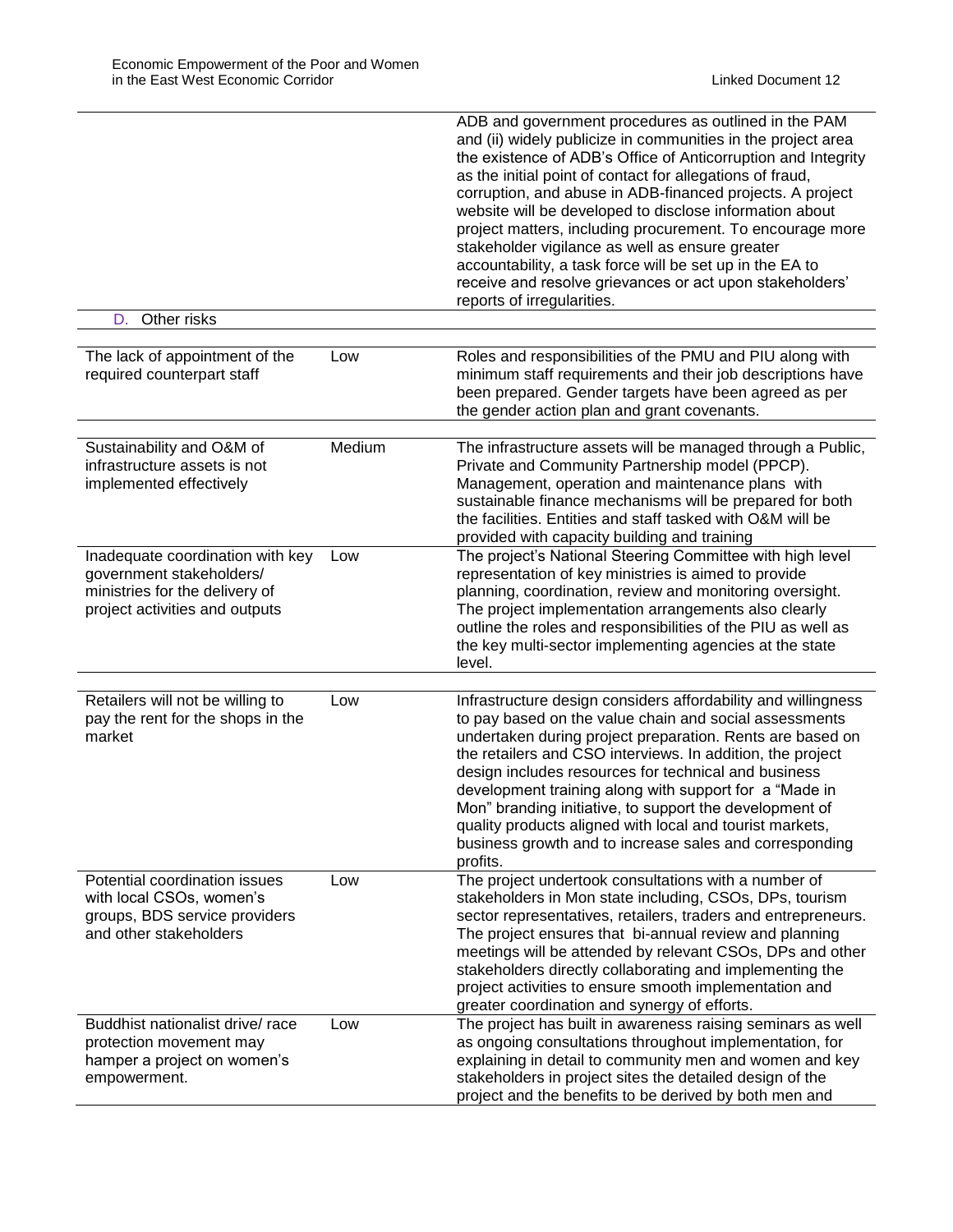|                                                                                                                      |        | ADB and government procedures as outlined in the PAM<br>and (ii) widely publicize in communities in the project area<br>the existence of ADB's Office of Anticorruption and Integrity<br>as the initial point of contact for allegations of fraud,<br>corruption, and abuse in ADB-financed projects. A project<br>website will be developed to disclose information about<br>project matters, including procurement. To encourage more<br>stakeholder vigilance as well as ensure greater<br>accountability, a task force will be set up in the EA to<br>receive and resolve grievances or act upon stakeholders'<br>reports of irregularities. |
|----------------------------------------------------------------------------------------------------------------------|--------|--------------------------------------------------------------------------------------------------------------------------------------------------------------------------------------------------------------------------------------------------------------------------------------------------------------------------------------------------------------------------------------------------------------------------------------------------------------------------------------------------------------------------------------------------------------------------------------------------------------------------------------------------|
| D. Other risks                                                                                                       |        |                                                                                                                                                                                                                                                                                                                                                                                                                                                                                                                                                                                                                                                  |
|                                                                                                                      |        |                                                                                                                                                                                                                                                                                                                                                                                                                                                                                                                                                                                                                                                  |
| The lack of appointment of the<br>required counterpart staff                                                         | Low    | Roles and responsibilities of the PMU and PIU along with<br>minimum staff requirements and their job descriptions have<br>been prepared. Gender targets have been agreed as per<br>the gender action plan and grant covenants.                                                                                                                                                                                                                                                                                                                                                                                                                   |
|                                                                                                                      |        |                                                                                                                                                                                                                                                                                                                                                                                                                                                                                                                                                                                                                                                  |
| Sustainability and O&M of<br>infrastructure assets is not<br>implemented effectively                                 | Medium | The infrastructure assets will be managed through a Public,<br>Private and Community Partnership model (PPCP).<br>Management, operation and maintenance plans with<br>sustainable finance mechanisms will be prepared for both<br>the facilities. Entities and staff tasked with O&M will be<br>provided with capacity building and training                                                                                                                                                                                                                                                                                                     |
| Inadequate coordination with key                                                                                     | Low    | The project's National Steering Committee with high level                                                                                                                                                                                                                                                                                                                                                                                                                                                                                                                                                                                        |
| government stakeholders/<br>ministries for the delivery of<br>project activities and outputs                         |        | representation of key ministries is aimed to provide<br>planning, coordination, review and monitoring oversight.<br>The project implementation arrangements also clearly<br>outline the roles and responsibilities of the PIU as well as<br>the key multi-sector implementing agencies at the state<br>level.                                                                                                                                                                                                                                                                                                                                    |
|                                                                                                                      |        |                                                                                                                                                                                                                                                                                                                                                                                                                                                                                                                                                                                                                                                  |
| Retailers will not be willing to<br>pay the rent for the shops in the<br>market                                      | Low    | Infrastructure design considers affordability and willingness<br>to pay based on the value chain and social assessments<br>undertaken during project preparation. Rents are based on<br>the retailers and CSO interviews. In addition, the project<br>design includes resources for technical and business<br>development training along with support for a "Made in<br>Mon" branding initiative, to support the development of<br>quality products aligned with local and tourist markets,<br>business growth and to increase sales and corresponding<br>profits.                                                                               |
| Potential coordination issues<br>with local CSOs, women's<br>groups, BDS service providers<br>and other stakeholders | Low    | The project undertook consultations with a number of<br>stakeholders in Mon state including, CSOs, DPs, tourism<br>sector representatives, retailers, traders and entrepreneurs.<br>The project ensures that bi-annual review and planning<br>meetings will be attended by relevant CSOs, DPs and other<br>stakeholders directly collaborating and implementing the<br>project activities to ensure smooth implementation and<br>greater coordination and synergy of efforts.                                                                                                                                                                    |
| Buddhist nationalist drive/ race<br>protection movement may<br>hamper a project on women's<br>empowerment.           | Low    | The project has built in awareness raising seminars as well<br>as ongoing consultations throughout implementation, for<br>explaining in detail to community men and women and key<br>stakeholders in project sites the detailed design of the<br>project and the benefits to be derived by both men and                                                                                                                                                                                                                                                                                                                                          |